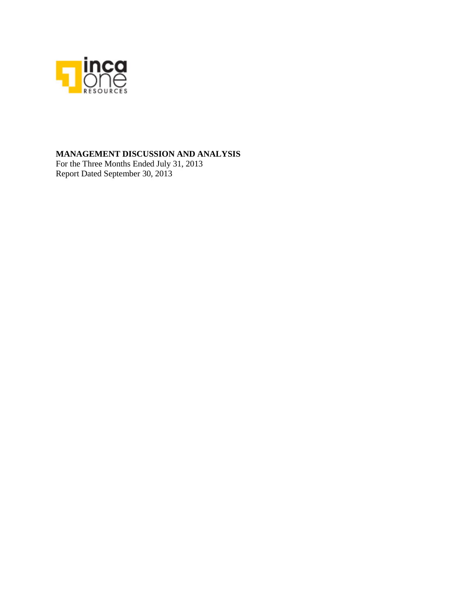

### **MANAGEMENT DISCUSSION AND ANALYSIS**

For the Three Months Ended July 31, 2013 Report Dated September 30, 2013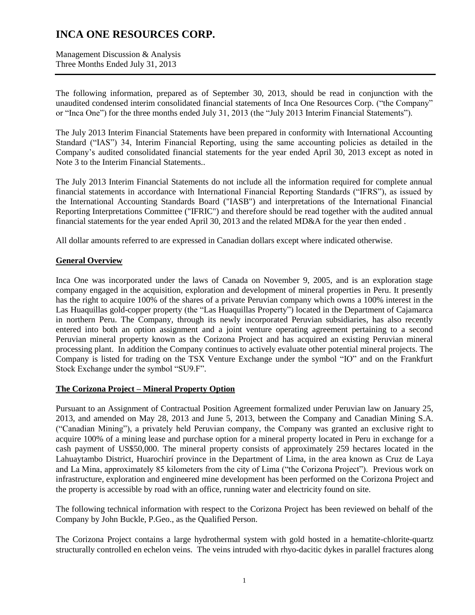Management Discussion & Analysis Three Months Ended July 31, 2013

The following information, prepared as of September 30, 2013, should be read in conjunction with the unaudited condensed interim consolidated financial statements of Inca One Resources Corp. ("the Company" or "Inca One") for the three months ended July 31, 2013 (the "July 2013 Interim Financial Statements").

The July 2013 Interim Financial Statements have been prepared in conformity with International Accounting Standard ("IAS") 34, Interim Financial Reporting, using the same accounting policies as detailed in the Company's audited consolidated financial statements for the year ended April 30, 2013 except as noted in Note 3 to the Interim Financial Statements..

The July 2013 Interim Financial Statements do not include all the information required for complete annual financial statements in accordance with International Financial Reporting Standards ("IFRS"), as issued by the International Accounting Standards Board ("IASB") and interpretations of the International Financial Reporting Interpretations Committee ("IFRIC") and therefore should be read together with the audited annual financial statements for the year ended April 30, 2013 and the related MD&A for the year then ended .

All dollar amounts referred to are expressed in Canadian dollars except where indicated otherwise.

### **General Overview**

Inca One was incorporated under the laws of Canada on November 9, 2005, and is an exploration stage company engaged in the acquisition, exploration and development of mineral properties in Peru. It presently has the right to acquire 100% of the shares of a private Peruvian company which owns a 100% interest in the Las Huaquillas gold-copper property (the "Las Huaquillas Property") located in the Department of Cajamarca in northern Peru. The Company, through its newly incorporated Peruvian subsidiaries, has also recently entered into both an option assignment and a joint venture operating agreement pertaining to a second Peruvian mineral property known as the Corizona Project and has acquired an existing Peruvian mineral processing plant. In addition the Company continues to actively evaluate other potential mineral projects. The Company is listed for trading on the TSX Venture Exchange under the symbol "IO" and on the Frankfurt Stock Exchange under the symbol "SU9.F".

### **The Corizona Project – Mineral Property Option**

Pursuant to an Assignment of Contractual Position Agreement formalized under Peruvian law on January 25, 2013, and amended on May 28, 2013 and June 5, 2013, between the Company and Canadian Mining S.A. ("Canadian Mining"), a privately held Peruvian company, the Company was granted an exclusive right to acquire 100% of a mining lease and purchase option for a mineral property located in Peru in exchange for a cash payment of US\$50,000. The mineral property consists of approximately 259 hectares located in the Lahuaytambo District, Huarochirí province in the Department of Lima, in the area known as Cruz de Laya and La Mina, approximately 85 kilometers from the city of Lima ("the Corizona Project"). Previous work on infrastructure, exploration and engineered mine development has been performed on the Corizona Project and the property is accessible by road with an office, running water and electricity found on site.

The following technical information with respect to the Corizona Project has been reviewed on behalf of the Company by John Buckle, P.Geo., as the Qualified Person.

The Corizona Project contains a large hydrothermal system with gold hosted in a hematite-chlorite-quartz structurally controlled en echelon veins. The veins intruded with rhyo-dacitic dykes in parallel fractures along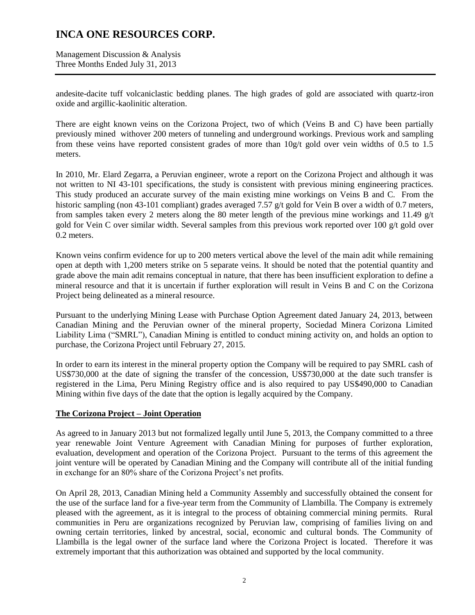Management Discussion & Analysis Three Months Ended July 31, 2013

andesite-dacite tuff volcaniclastic bedding planes. The high grades of gold are associated with quartz-iron oxide and argillic-kaolinitic alteration.

There are eight known veins on the Corizona Project, two of which (Veins B and C) have been partially previously mined withover 200 meters of tunneling and underground workings. Previous work and sampling from these veins have reported consistent grades of more than  $10g/t$  gold over vein widths of 0.5 to 1.5 meters.

In 2010, Mr. Elard Zegarra, a Peruvian engineer, wrote a report on the Corizona Project and although it was not written to NI 43-101 specifications, the study is consistent with previous mining engineering practices. This study produced an accurate survey of the main existing mine workings on Veins B and C. From the historic sampling (non 43-101 compliant) grades averaged 7.57 g/t gold for Vein B over a width of 0.7 meters, from samples taken every 2 meters along the 80 meter length of the previous mine workings and 11.49  $g/t$ gold for Vein C over similar width. Several samples from this previous work reported over 100  $g/t$  gold over 0.2 meters.

Known veins confirm evidence for up to 200 meters vertical above the level of the main adit while remaining open at depth with 1,200 meters strike on 5 separate veins. It should be noted that the potential quantity and grade above the main adit remains conceptual in nature, that there has been insufficient exploration to define a mineral resource and that it is uncertain if further exploration will result in Veins B and C on the Corizona Project being delineated as a mineral resource.

Pursuant to the underlying Mining Lease with Purchase Option Agreement dated January 24, 2013, between Canadian Mining and the Peruvian owner of the mineral property, Sociedad Minera Corizona Limited Liability Lima ("SMRL"), Canadian Mining is entitled to conduct mining activity on, and holds an option to purchase, the Corizona Project until February 27, 2015.

In order to earn its interest in the mineral property option the Company will be required to pay SMRL cash of US\$730,000 at the date of signing the transfer of the concession, US\$730,000 at the date such transfer is registered in the Lima, Peru Mining Registry office and is also required to pay US\$490,000 to Canadian Mining within five days of the date that the option is legally acquired by the Company.

### **The Corizona Project – Joint Operation**

As agreed to in January 2013 but not formalized legally until June 5, 2013, the Company committed to a three year renewable Joint Venture Agreement with Canadian Mining for purposes of further exploration, evaluation, development and operation of the Corizona Project. Pursuant to the terms of this agreement the joint venture will be operated by Canadian Mining and the Company will contribute all of the initial funding in exchange for an 80% share of the Corizona Project's net profits.

On April 28, 2013, Canadian Mining held a Community Assembly and successfully obtained the consent for the use of the surface land for a five-year term from the Community of Llambilla. The Company is extremely pleased with the agreement, as it is integral to the process of obtaining commercial mining permits. Rural communities in Peru are organizations recognized by Peruvian law, comprising of families living on and owning certain territories, linked by ancestral, social, economic and cultural bonds. The Community of Llambilla is the legal owner of the surface land where the Corizona Project is located. Therefore it was extremely important that this authorization was obtained and supported by the local community.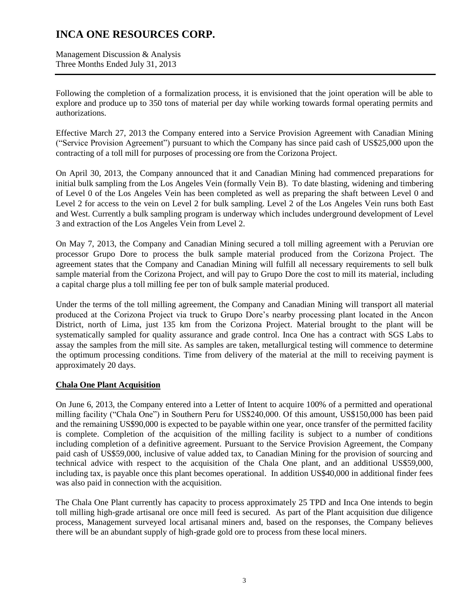Management Discussion & Analysis Three Months Ended July 31, 2013

Following the completion of a formalization process, it is envisioned that the joint operation will be able to explore and produce up to 350 tons of material per day while working towards formal operating permits and authorizations.

Effective March 27, 2013 the Company entered into a Service Provision Agreement with Canadian Mining ("Service Provision Agreement") pursuant to which the Company has since paid cash of US\$25,000 upon the contracting of a toll mill for purposes of processing ore from the Corizona Project.

On April 30, 2013, the Company announced that it and Canadian Mining had commenced preparations for initial bulk sampling from the Los Angeles Vein (formally Vein B). To date blasting, widening and timbering of Level 0 of the Los Angeles Vein has been completed as well as preparing the shaft between Level 0 and Level 2 for access to the vein on Level 2 for bulk sampling. Level 2 of the Los Angeles Vein runs both East and West. Currently a bulk sampling program is underway which includes underground development of Level 3 and extraction of the Los Angeles Vein from Level 2.

On May 7, 2013, the Company and Canadian Mining secured a toll milling agreement with a Peruvian ore processor Grupo Dore to process the bulk sample material produced from the Corizona Project. The agreement states that the Company and Canadian Mining will fulfill all necessary requirements to sell bulk sample material from the Corizona Project, and will pay to Grupo Dore the cost to mill its material, including a capital charge plus a toll milling fee per ton of bulk sample material produced.

Under the terms of the toll milling agreement, the Company and Canadian Mining will transport all material produced at the Corizona Project via truck to Grupo Dore's nearby processing plant located in the Ancon District, north of Lima, just 135 km from the Corizona Project. Material brought to the plant will be systematically sampled for quality assurance and grade control. Inca One has a contract with SGS Labs to assay the samples from the mill site. As samples are taken, metallurgical testing will commence to determine the optimum processing conditions. Time from delivery of the material at the mill to receiving payment is approximately 20 days.

### **Chala One Plant Acquisition**

On June 6, 2013, the Company entered into a Letter of Intent to acquire 100% of a permitted and operational milling facility ("Chala One") in Southern Peru for US\$240,000. Of this amount, US\$150,000 has been paid and the remaining US\$90,000 is expected to be payable within one year, once transfer of the permitted facility is complete. Completion of the acquisition of the milling facility is subject to a number of conditions including completion of a definitive agreement. Pursuant to the Service Provision Agreement, the Company paid cash of US\$59,000, inclusive of value added tax, to Canadian Mining for the provision of sourcing and technical advice with respect to the acquisition of the Chala One plant, and an additional US\$59,000, including tax, is payable once this plant becomes operational. In addition US\$40,000 in additional finder fees was also paid in connection with the acquisition.

The Chala One Plant currently has capacity to process approximately 25 TPD and Inca One intends to begin toll milling high-grade artisanal ore once mill feed is secured. As part of the Plant acquisition due diligence process, Management surveyed local artisanal miners and, based on the responses, the Company believes there will be an abundant supply of high-grade gold ore to process from these local miners.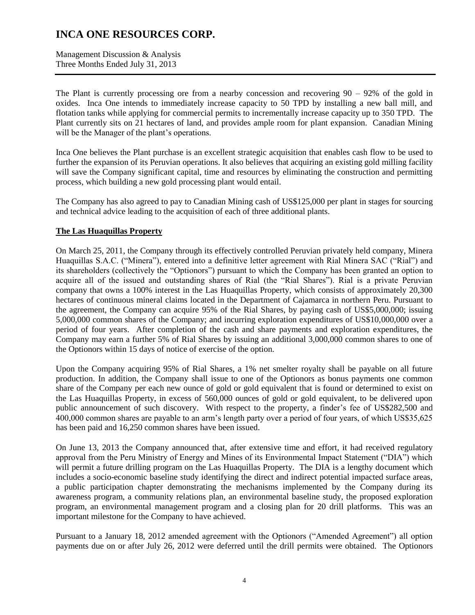Management Discussion & Analysis Three Months Ended July 31, 2013

The Plant is currently processing ore from a nearby concession and recovering  $90 - 92\%$  of the gold in oxides. Inca One intends to immediately increase capacity to 50 TPD by installing a new ball mill, and flotation tanks while applying for commercial permits to incrementally increase capacity up to 350 TPD. The Plant currently sits on 21 hectares of land, and provides ample room for plant expansion. Canadian Mining will be the Manager of the plant's operations.

Inca One believes the Plant purchase is an excellent strategic acquisition that enables cash flow to be used to further the expansion of its Peruvian operations. It also believes that acquiring an existing gold milling facility will save the Company significant capital, time and resources by eliminating the construction and permitting process, which building a new gold processing plant would entail.

The Company has also agreed to pay to Canadian Mining cash of US\$125,000 per plant in stages for sourcing and technical advice leading to the acquisition of each of three additional plants.

### **The Las Huaquillas Property**

On March 25, 2011, the Company through its effectively controlled Peruvian privately held company, Minera Huaquillas S.A.C. ("Minera"), entered into a definitive letter agreement with Rial Minera SAC ("Rial") and its shareholders (collectively the "Optionors") pursuant to which the Company has been granted an option to acquire all of the issued and outstanding shares of Rial (the "Rial Shares"). Rial is a private Peruvian company that owns a 100% interest in the Las Huaquillas Property, which consists of approximately 20,300 hectares of continuous mineral claims located in the Department of Cajamarca in northern Peru. Pursuant to the agreement, the Company can acquire 95% of the Rial Shares, by paying cash of US\$5,000,000; issuing 5,000,000 common shares of the Company; and incurring exploration expenditures of US\$10,000,000 over a period of four years. After completion of the cash and share payments and exploration expenditures, the Company may earn a further 5% of Rial Shares by issuing an additional 3,000,000 common shares to one of the Optionors within 15 days of notice of exercise of the option.

Upon the Company acquiring 95% of Rial Shares, a 1% net smelter royalty shall be payable on all future production. In addition, the Company shall issue to one of the Optionors as bonus payments one common share of the Company per each new ounce of gold or gold equivalent that is found or determined to exist on the Las Huaquillas Property, in excess of 560,000 ounces of gold or gold equivalent, to be delivered upon public announcement of such discovery. With respect to the property, a finder's fee of US\$282,500 and 400,000 common shares are payable to an arm's length party over a period of four years, of which US\$35,625 has been paid and 16,250 common shares have been issued.

On June 13, 2013 the Company announced that, after extensive time and effort, it had received regulatory approval from the Peru Ministry of Energy and Mines of its Environmental Impact Statement ("DIA") which will permit a future drilling program on the Las Huaquillas Property. The DIA is a lengthy document which includes a socio-economic baseline study identifying the direct and indirect potential impacted surface areas, a public participation chapter demonstrating the mechanisms implemented by the Company during its awareness program, a community relations plan, an environmental baseline study, the proposed exploration program, an environmental management program and a closing plan for 20 drill platforms. This was an important milestone for the Company to have achieved.

Pursuant to a January 18, 2012 amended agreement with the Optionors ("Amended Agreement") all option payments due on or after July 26, 2012 were deferred until the drill permits were obtained. The Optionors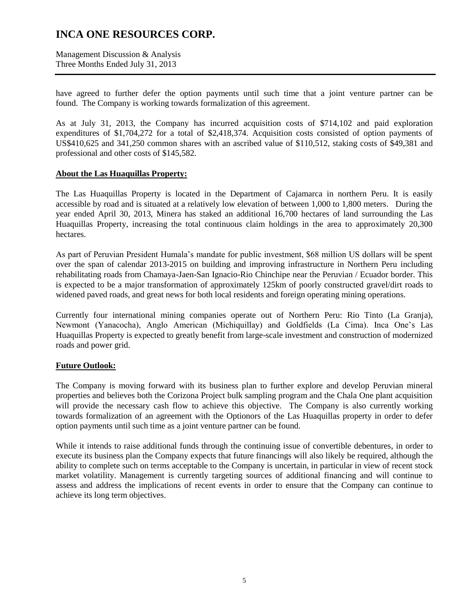Management Discussion & Analysis Three Months Ended July 31, 2013

have agreed to further defer the option payments until such time that a joint venture partner can be found. The Company is working towards formalization of this agreement.

As at July 31, 2013, the Company has incurred acquisition costs of \$714,102 and paid exploration expenditures of \$1,704,272 for a total of \$2,418,374. Acquisition costs consisted of option payments of US\$410,625 and 341,250 common shares with an ascribed value of \$110,512, staking costs of \$49,381 and professional and other costs of \$145,582.

### **About the Las Huaquillas Property:**

The Las Huaquillas Property is located in the Department of Cajamarca in northern Peru. It is easily accessible by road and is situated at a relatively low elevation of between 1,000 to 1,800 meters. During the year ended April 30, 2013, Minera has staked an additional 16,700 hectares of land surrounding the Las Huaquillas Property, increasing the total continuous claim holdings in the area to approximately 20,300 hectares.

As part of Peruvian President Humala's mandate for public investment, \$68 million US dollars will be spent over the span of calendar 2013-2015 on building and improving infrastructure in Northern Peru including rehabilitating roads from Chamaya-Jaen-San Ignacio-Rio Chinchipe near the Peruvian / Ecuador border. This is expected to be a major transformation of approximately 125km of poorly constructed gravel/dirt roads to widened paved roads, and great news for both local residents and foreign operating mining operations.

Currently four international mining companies operate out of Northern Peru: Rio Tinto (La Granja), Newmont (Yanacocha), Anglo American (Michiquillay) and Goldfields (La Cima). Inca One's Las Huaquillas Property is expected to greatly benefit from large-scale investment and construction of modernized roads and power grid.

### **Future Outlook:**

The Company is moving forward with its business plan to further explore and develop Peruvian mineral properties and believes both the Corizona Project bulk sampling program and the Chala One plant acquisition will provide the necessary cash flow to achieve this objective. The Company is also currently working towards formalization of an agreement with the Optionors of the Las Huaquillas property in order to defer option payments until such time as a joint venture partner can be found.

While it intends to raise additional funds through the continuing issue of convertible debentures, in order to execute its business plan the Company expects that future financings will also likely be required, although the ability to complete such on terms acceptable to the Company is uncertain, in particular in view of recent stock market volatility. Management is currently targeting sources of additional financing and will continue to assess and address the implications of recent events in order to ensure that the Company can continue to achieve its long term objectives.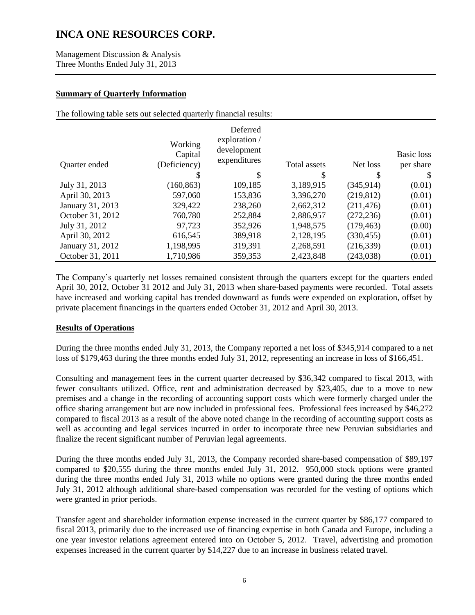Management Discussion & Analysis Three Months Ended July 31, 2013

### **Summary of Quarterly Information**

The following table sets out selected quarterly financial results:

| Quarter ended    | Working<br>Capital<br>(Deficiency) | Deferred<br>exploration /<br>development<br>expenditures | Total assets | Net loss   | Basic loss<br>per share |
|------------------|------------------------------------|----------------------------------------------------------|--------------|------------|-------------------------|
|                  | S                                  | \$                                                       | \$           | \$         | \$.                     |
| July 31, 2013    | (160, 863)                         | 109,185                                                  | 3,189,915    | (345, 914) | (0.01)                  |
| April 30, 2013   | 597,060                            | 153,836                                                  | 3,396,270    | (219, 812) | (0.01)                  |
| January 31, 2013 | 329,422                            | 238,260                                                  | 2,662,312    | (211, 476) | (0.01)                  |
| October 31, 2012 | 760,780                            | 252,884                                                  | 2,886,957    | (272, 236) | (0.01)                  |
| July 31, 2012    | 97,723                             | 352,926                                                  | 1,948,575    | (179, 463) | (0.00)                  |
| April 30, 2012   | 616,545                            | 389,918                                                  | 2,128,195    | (330, 455) | (0.01)                  |
| January 31, 2012 | 1,198,995                          | 319,391                                                  | 2,268,591    | (216, 339) | (0.01)                  |
| October 31, 2011 | 1,710,986                          | 359,353                                                  | 2,423,848    | (243, 038) | (0.01)                  |

The Company's quarterly net losses remained consistent through the quarters except for the quarters ended April 30, 2012, October 31 2012 and July 31, 2013 when share-based payments were recorded. Total assets have increased and working capital has trended downward as funds were expended on exploration, offset by private placement financings in the quarters ended October 31, 2012 and April 30, 2013.

### **Results of Operations**

During the three months ended July 31, 2013, the Company reported a net loss of \$345,914 compared to a net loss of \$179,463 during the three months ended July 31, 2012, representing an increase in loss of \$166,451.

Consulting and management fees in the current quarter decreased by \$36,342 compared to fiscal 2013, with fewer consultants utilized. Office, rent and administration decreased by \$23,405, due to a move to new premises and a change in the recording of accounting support costs which were formerly charged under the office sharing arrangement but are now included in professional fees. Professional fees increased by \$46,272 compared to fiscal 2013 as a result of the above noted change in the recording of accounting support costs as well as accounting and legal services incurred in order to incorporate three new Peruvian subsidiaries and finalize the recent significant number of Peruvian legal agreements.

During the three months ended July 31, 2013, the Company recorded share-based compensation of \$89,197 compared to \$20,555 during the three months ended July 31, 2012. 950,000 stock options were granted during the three months ended July 31, 2013 while no options were granted during the three months ended July 31, 2012 although additional share-based compensation was recorded for the vesting of options which were granted in prior periods.

Transfer agent and shareholder information expense increased in the current quarter by \$86,177 compared to fiscal 2013, primarily due to the increased use of financing expertise in both Canada and Europe, including a one year investor relations agreement entered into on October 5, 2012. Travel, advertising and promotion expenses increased in the current quarter by \$14,227 due to an increase in business related travel.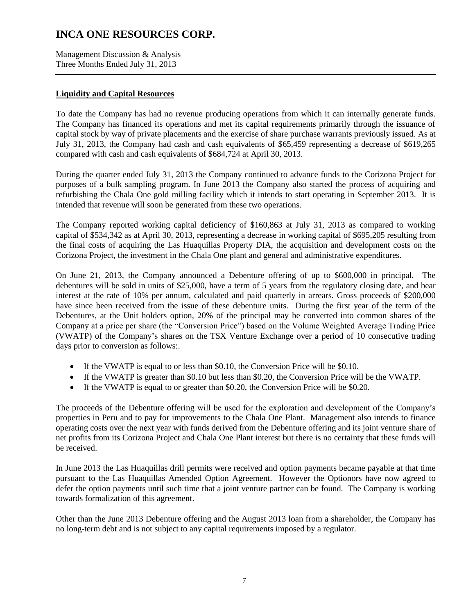Management Discussion & Analysis Three Months Ended July 31, 2013

### **Liquidity and Capital Resources**

To date the Company has had no revenue producing operations from which it can internally generate funds. The Company has financed its operations and met its capital requirements primarily through the issuance of capital stock by way of private placements and the exercise of share purchase warrants previously issued. As at July 31, 2013, the Company had cash and cash equivalents of \$65,459 representing a decrease of \$619,265 compared with cash and cash equivalents of \$684,724 at April 30, 2013.

During the quarter ended July 31, 2013 the Company continued to advance funds to the Corizona Project for purposes of a bulk sampling program. In June 2013 the Company also started the process of acquiring and refurbishing the Chala One gold milling facility which it intends to start operating in September 2013. It is intended that revenue will soon be generated from these two operations.

The Company reported working capital deficiency of \$160,863 at July 31, 2013 as compared to working capital of \$534,342 as at April 30, 2013, representing a decrease in working capital of \$695,205 resulting from the final costs of acquiring the Las Huaquillas Property DIA, the acquisition and development costs on the Corizona Project, the investment in the Chala One plant and general and administrative expenditures.

On June 21, 2013, the Company announced a Debenture offering of up to \$600,000 in principal. The debentures will be sold in units of \$25,000, have a term of 5 years from the regulatory closing date, and bear interest at the rate of 10% per annum, calculated and paid quarterly in arrears. Gross proceeds of \$200,000 have since been received from the issue of these debenture units. During the first year of the term of the Debentures, at the Unit holders option, 20% of the principal may be converted into common shares of the Company at a price per share (the "Conversion Price") based on the Volume Weighted Average Trading Price (VWATP) of the Company's shares on the TSX Venture Exchange over a period of 10 consecutive trading days prior to conversion as follows:.

- If the VWATP is equal to or less than  $$0.10$ , the Conversion Price will be  $$0.10$ .
- If the VWATP is greater than \$0.10 but less than \$0.20, the Conversion Price will be the VWATP.
- If the VWATP is equal to or greater than  $$0.20$ , the Conversion Price will be  $$0.20$ .

The proceeds of the Debenture offering will be used for the exploration and development of the Company's properties in Peru and to pay for improvements to the Chala One Plant. Management also intends to finance operating costs over the next year with funds derived from the Debenture offering and its joint venture share of net profits from its Corizona Project and Chala One Plant interest but there is no certainty that these funds will be received.

In June 2013 the Las Huaquillas drill permits were received and option payments became payable at that time pursuant to the Las Huaquillas Amended Option Agreement. However the Optionors have now agreed to defer the option payments until such time that a joint venture partner can be found. The Company is working towards formalization of this agreement.

Other than the June 2013 Debenture offering and the August 2013 loan from a shareholder, the Company has no long-term debt and is not subject to any capital requirements imposed by a regulator.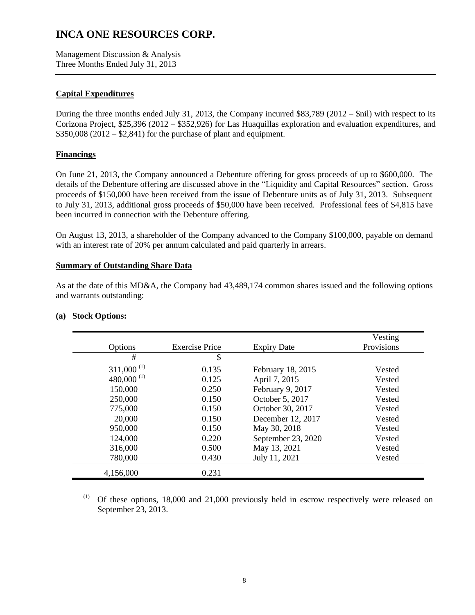Management Discussion & Analysis Three Months Ended July 31, 2013

### **Capital Expenditures**

During the three months ended July 31, 2013, the Company incurred \$83,789 (2012 – \$nil) with respect to its Corizona Project, \$25,396 (2012 – \$352,926) for Las Huaquillas exploration and evaluation expenditures, and  $$350,008 (2012 - $2,841)$  for the purchase of plant and equipment.

### **Financings**

On June 21, 2013, the Company announced a Debenture offering for gross proceeds of up to \$600,000. The details of the Debenture offering are discussed above in the "Liquidity and Capital Resources" section. Gross proceeds of \$150,000 have been received from the issue of Debenture units as of July 31, 2013. Subsequent to July 31, 2013, additional gross proceeds of \$50,000 have been received. Professional fees of \$4,815 have been incurred in connection with the Debenture offering.

On August 13, 2013, a shareholder of the Company advanced to the Company \$100,000, payable on demand with an interest rate of 20% per annum calculated and paid quarterly in arrears.

### **Summary of Outstanding Share Data**

As at the date of this MD&A, the Company had 43,489,174 common shares issued and the following options and warrants outstanding:

| Options                  | <b>Exercise Price</b> | <b>Expiry Date</b> | Vesting<br>Provisions |
|--------------------------|-----------------------|--------------------|-----------------------|
| #                        | \$                    |                    |                       |
| $311,000$ <sup>(1)</sup> | 0.135                 | February 18, 2015  | Vested                |
| 480,000 $^{(1)}$         | 0.125                 | April 7, 2015      | Vested                |
| 150,000                  | 0.250                 | February 9, 2017   | Vested                |
| 250,000                  | 0.150                 | October 5, 2017    | Vested                |
| 775,000                  | 0.150                 | October 30, 2017   | Vested                |
| 20,000                   | 0.150                 | December 12, 2017  | Vested                |
| 950,000                  | 0.150                 | May 30, 2018       | Vested                |
| 124,000                  | 0.220                 | September 23, 2020 | Vested                |
| 316,000                  | 0.500                 | May 13, 2021       | Vested                |
| 780,000                  | 0.430                 | July 11, 2021      | Vested                |
| 4,156,000                | 0.231                 |                    |                       |

### **(a) Stock Options:**

(1) Of these options, 18,000 and 21,000 previously held in escrow respectively were released on September 23, 2013.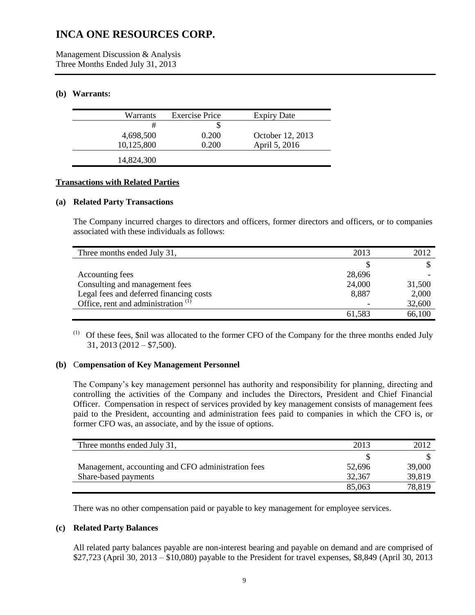Management Discussion & Analysis Three Months Ended July 31, 2013

### **(b) Warrants:**

| Warrants   | <b>Exercise Price</b> | <b>Expiry Date</b> |
|------------|-----------------------|--------------------|
| #          | P                     |                    |
| 4,698,500  | 0.200                 | October 12, 2013   |
| 10,125,800 | 0.200                 | April 5, 2016      |
| 14,824,300 |                       |                    |

### **Transactions with Related Parties**

### **(a) Related Party Transactions**

The Company incurred charges to directors and officers, former directors and officers, or to companies associated with these individuals as follows:

| Three months ended July 31,                    | 2013   | 2012   |
|------------------------------------------------|--------|--------|
|                                                |        |        |
| Accounting fees                                | 28,696 |        |
| Consulting and management fees                 | 24,000 | 31,500 |
| Legal fees and deferred financing costs        | 8,887  | 2,000  |
| Office, rent and administration <sup>(1)</sup> |        | 32,600 |
|                                                | 61.583 | 66,100 |

(1) Of these fees, \$nil was allocated to the former CFO of the Company for the three months ended July 31, 2013 (2012 – \$7,500).

### **(b)** C**ompensation of Key Management Personnel**

The Company's key management personnel has authority and responsibility for planning, directing and controlling the activities of the Company and includes the Directors, President and Chief Financial Officer. Compensation in respect of services provided by key management consists of management fees paid to the President, accounting and administration fees paid to companies in which the CFO is, or former CFO was, an associate, and by the issue of options.

| Three months ended July 31,                        | 2013   | 2012   |
|----------------------------------------------------|--------|--------|
|                                                    |        |        |
| Management, accounting and CFO administration fees | 52,696 | 39,000 |
| Share-based payments                               | 32,367 | 39,819 |
|                                                    | 85,063 | 78,819 |

There was no other compensation paid or payable to key management for employee services.

### **(c) Related Party Balances**

All related party balances payable are non-interest bearing and payable on demand and are comprised of \$27,723 (April 30, 2013 – \$10,080) payable to the President for travel expenses, \$8,849 (April 30, 2013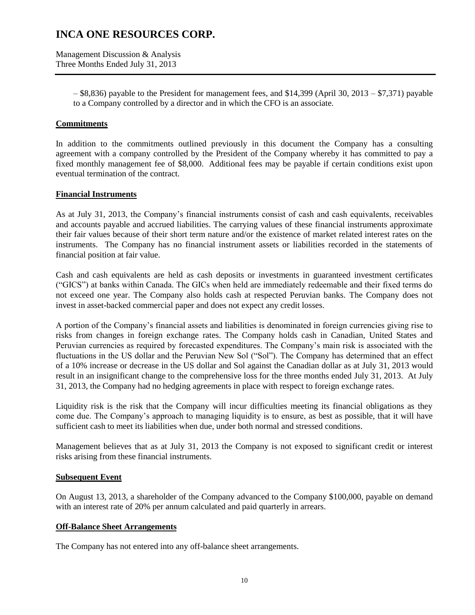Management Discussion & Analysis Three Months Ended July 31, 2013

> – \$8,836) payable to the President for management fees, and \$14,399 (April 30, 2013 – \$7,371) payable to a Company controlled by a director and in which the CFO is an associate.

### **Commitments**

In addition to the commitments outlined previously in this document the Company has a consulting agreement with a company controlled by the President of the Company whereby it has committed to pay a fixed monthly management fee of \$8,000. Additional fees may be payable if certain conditions exist upon eventual termination of the contract.

### **Financial Instruments**

As at July 31, 2013, the Company's financial instruments consist of cash and cash equivalents, receivables and accounts payable and accrued liabilities. The carrying values of these financial instruments approximate their fair values because of their short term nature and/or the existence of market related interest rates on the instruments. The Company has no financial instrument assets or liabilities recorded in the statements of financial position at fair value.

Cash and cash equivalents are held as cash deposits or investments in guaranteed investment certificates ("GICS") at banks within Canada. The GICs when held are immediately redeemable and their fixed terms do not exceed one year. The Company also holds cash at respected Peruvian banks. The Company does not invest in asset-backed commercial paper and does not expect any credit losses.

A portion of the Company's financial assets and liabilities is denominated in foreign currencies giving rise to risks from changes in foreign exchange rates. The Company holds cash in Canadian, United States and Peruvian currencies as required by forecasted expenditures. The Company's main risk is associated with the fluctuations in the US dollar and the Peruvian New Sol ("Sol"). The Company has determined that an effect of a 10% increase or decrease in the US dollar and Sol against the Canadian dollar as at July 31, 2013 would result in an insignificant change to the comprehensive loss for the three months ended July 31, 2013. At July 31, 2013, the Company had no hedging agreements in place with respect to foreign exchange rates.

Liquidity risk is the risk that the Company will incur difficulties meeting its financial obligations as they come due. The Company's approach to managing liquidity is to ensure, as best as possible, that it will have sufficient cash to meet its liabilities when due, under both normal and stressed conditions.

Management believes that as at July 31, 2013 the Company is not exposed to significant credit or interest risks arising from these financial instruments.

### **Subsequent Event**

On August 13, 2013, a shareholder of the Company advanced to the Company \$100,000, payable on demand with an interest rate of 20% per annum calculated and paid quarterly in arrears.

### **Off-Balance Sheet Arrangements**

The Company has not entered into any off-balance sheet arrangements.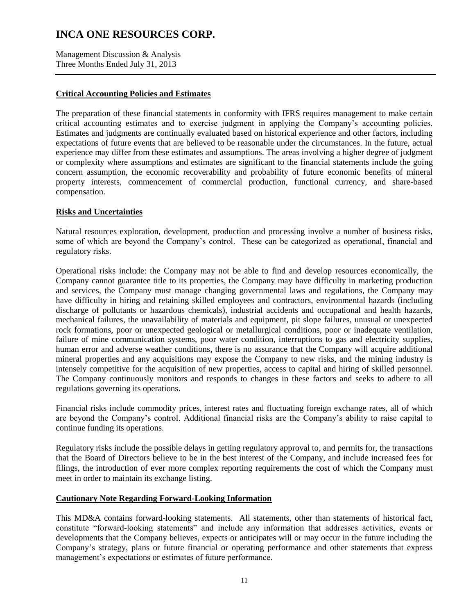Management Discussion & Analysis Three Months Ended July 31, 2013

### **Critical Accounting Policies and Estimates**

The preparation of these financial statements in conformity with IFRS requires management to make certain critical accounting estimates and to exercise judgment in applying the Company's accounting policies. Estimates and judgments are continually evaluated based on historical experience and other factors, including expectations of future events that are believed to be reasonable under the circumstances. In the future, actual experience may differ from these estimates and assumptions. The areas involving a higher degree of judgment or complexity where assumptions and estimates are significant to the financial statements include the going concern assumption, the economic recoverability and probability of future economic benefits of mineral property interests, commencement of commercial production, functional currency, and share-based compensation.

### **Risks and Uncertainties**

Natural resources exploration, development, production and processing involve a number of business risks, some of which are beyond the Company's control. These can be categorized as operational, financial and regulatory risks.

Operational risks include: the Company may not be able to find and develop resources economically, the Company cannot guarantee title to its properties, the Company may have difficulty in marketing production and services, the Company must manage changing governmental laws and regulations, the Company may have difficulty in hiring and retaining skilled employees and contractors, environmental hazards (including discharge of pollutants or hazardous chemicals), industrial accidents and occupational and health hazards, mechanical failures, the unavailability of materials and equipment, pit slope failures, unusual or unexpected rock formations, poor or unexpected geological or metallurgical conditions, poor or inadequate ventilation, failure of mine communication systems, poor water condition, interruptions to gas and electricity supplies, human error and adverse weather conditions, there is no assurance that the Company will acquire additional mineral properties and any acquisitions may expose the Company to new risks, and the mining industry is intensely competitive for the acquisition of new properties, access to capital and hiring of skilled personnel. The Company continuously monitors and responds to changes in these factors and seeks to adhere to all regulations governing its operations.

Financial risks include commodity prices, interest rates and fluctuating foreign exchange rates, all of which are beyond the Company's control. Additional financial risks are the Company's ability to raise capital to continue funding its operations.

Regulatory risks include the possible delays in getting regulatory approval to, and permits for, the transactions that the Board of Directors believe to be in the best interest of the Company, and include increased fees for filings, the introduction of ever more complex reporting requirements the cost of which the Company must meet in order to maintain its exchange listing.

### **Cautionary Note Regarding Forward-Looking Information**

This MD&A contains forward-looking statements. All statements, other than statements of historical fact, constitute "forward-looking statements" and include any information that addresses activities, events or developments that the Company believes, expects or anticipates will or may occur in the future including the Company's strategy, plans or future financial or operating performance and other statements that express management's expectations or estimates of future performance.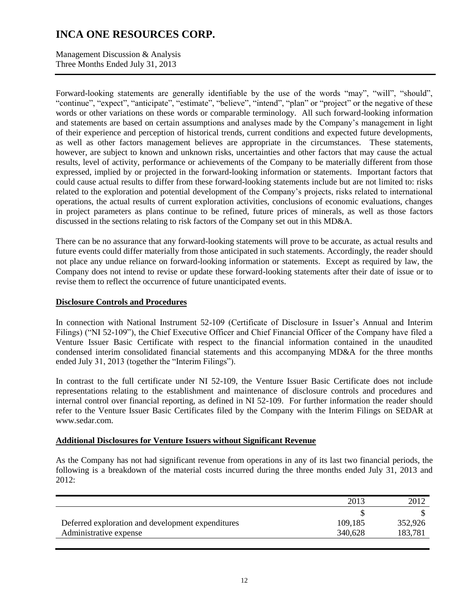Management Discussion & Analysis Three Months Ended July 31, 2013

Forward-looking statements are generally identifiable by the use of the words "may", "will", "should", "continue", "expect", "anticipate", "estimate", "believe", "intend", "plan" or "project" or the negative of these words or other variations on these words or comparable terminology. All such forward-looking information and statements are based on certain assumptions and analyses made by the Company's management in light of their experience and perception of historical trends, current conditions and expected future developments, as well as other factors management believes are appropriate in the circumstances. These statements, however, are subject to known and unknown risks, uncertainties and other factors that may cause the actual results, level of activity, performance or achievements of the Company to be materially different from those expressed, implied by or projected in the forward-looking information or statements. Important factors that could cause actual results to differ from these forward-looking statements include but are not limited to: risks related to the exploration and potential development of the Company's projects, risks related to international operations, the actual results of current exploration activities, conclusions of economic evaluations, changes in project parameters as plans continue to be refined, future prices of minerals, as well as those factors discussed in the sections relating to risk factors of the Company set out in this MD&A.

There can be no assurance that any forward-looking statements will prove to be accurate, as actual results and future events could differ materially from those anticipated in such statements. Accordingly, the reader should not place any undue reliance on forward-looking information or statements. Except as required by law, the Company does not intend to revise or update these forward-looking statements after their date of issue or to revise them to reflect the occurrence of future unanticipated events.

### **Disclosure Controls and Procedures**

In connection with National Instrument 52-109 (Certificate of Disclosure in Issuer's Annual and Interim Filings) ("NI 52-109"), the Chief Executive Officer and Chief Financial Officer of the Company have filed a Venture Issuer Basic Certificate with respect to the financial information contained in the unaudited condensed interim consolidated financial statements and this accompanying MD&A for the three months ended July 31, 2013 (together the "Interim Filings").

In contrast to the full certificate under NI 52-109, the Venture Issuer Basic Certificate does not include representations relating to the establishment and maintenance of disclosure controls and procedures and internal control over financial reporting, as defined in NI 52-109. For further information the reader should refer to the Venture Issuer Basic Certificates filed by the Company with the Interim Filings on SEDAR at www.sedar.com.

#### **Additional Disclosures for Venture Issuers without Significant Revenue**

As the Company has not had significant revenue from operations in any of its last two financial periods, the following is a breakdown of the material costs incurred during the three months ended July 31, 2013 and  $2012$ 

|                                                   | 2013    | 2012    |
|---------------------------------------------------|---------|---------|
|                                                   |         |         |
| Deferred exploration and development expenditures | 109,185 | 352,926 |
| Administrative expense                            | 340,628 | 183,781 |